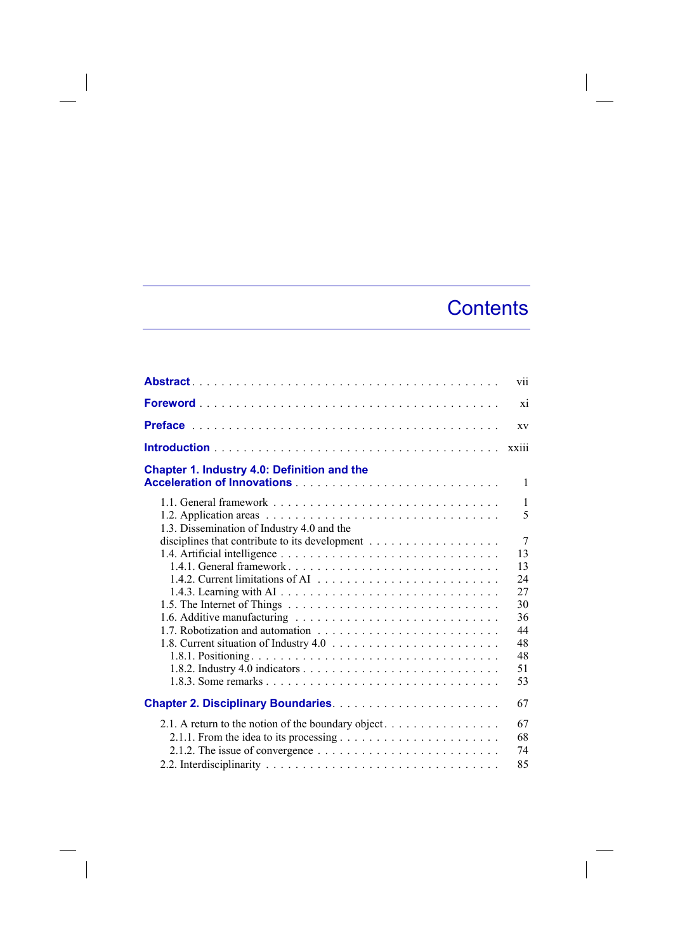## **Contents**

 $\overline{\phantom{a}}$ 

|                                                                                                                                                     | vii                  |
|-----------------------------------------------------------------------------------------------------------------------------------------------------|----------------------|
|                                                                                                                                                     | xi                   |
|                                                                                                                                                     | XV                   |
|                                                                                                                                                     | xxiii                |
| Chapter 1. Industry 4.0: Definition and the                                                                                                         | $\mathbf{1}$         |
|                                                                                                                                                     | $\mathbf{1}$<br>5    |
| 1.3. Dissemination of Industry 4.0 and the                                                                                                          | $\overline{7}$<br>13 |
| 1.4.1. General framework                                                                                                                            | 13<br>24<br>27       |
|                                                                                                                                                     | 30<br>36             |
|                                                                                                                                                     | 44<br>48<br>48       |
|                                                                                                                                                     | 51<br>53             |
|                                                                                                                                                     | 67                   |
| 2.1. A return to the notion of the boundary object<br>2.1.2. The issue of convergence $\dots \dots \dots \dots \dots \dots \dots \dots \dots \dots$ | 67<br>68<br>74<br>85 |

 $\begin{array}{c} \hline \end{array}$ 

 $\overline{\phantom{a}}$